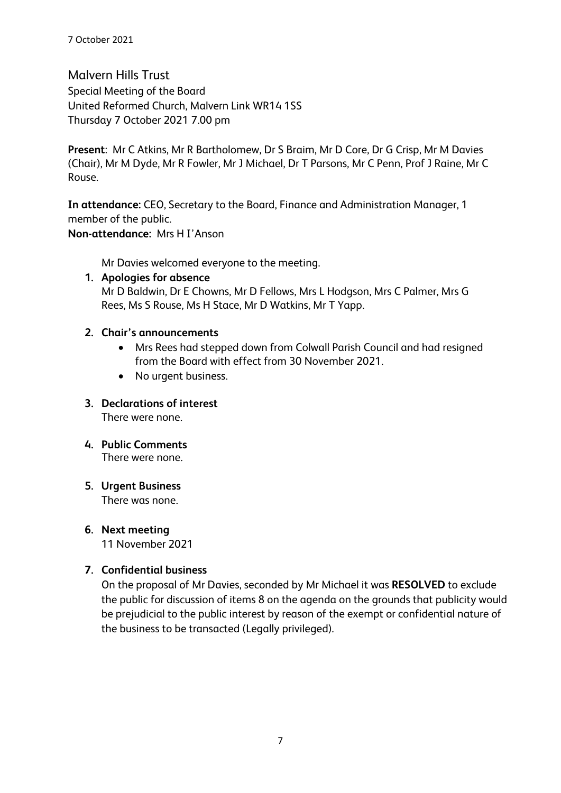Malvern Hills Trust Special Meeting of the Board United Reformed Church, Malvern Link WR14 1SS Thursday 7 October 2021 7.00 pm

**Present**: Mr C Atkins, Mr R Bartholomew, Dr S Braim, Mr D Core, Dr G Crisp, Mr M Davies (Chair), Mr M Dyde, Mr R Fowler, Mr J Michael, Dr T Parsons, Mr C Penn, Prof J Raine, Mr C Rouse.

**In attendance:** CEO, Secretary to the Board, Finance and Administration Manager, 1 member of the public.

**Non-attendance:** Mrs H I'Anson

Mr Davies welcomed everyone to the meeting.

**1. Apologies for absence** Mr D Baldwin, Dr E Chowns, Mr D Fellows, Mrs L Hodgson, Mrs C Palmer, Mrs G Rees, Ms S Rouse, Ms H Stace, Mr D Watkins, Mr T Yapp.

## **2. Chair's announcements**

- Mrs Rees had stepped down from Colwall Parish Council and had resigned from the Board with effect from 30 November 2021.
- No urgent business.
- **3. Declarations of interest** There were none.
- **4. Public Comments** There were none.
- **5. Urgent Business**  There was none.
- **6. Next meeting** 11 November 2021

## **7. Confidential business**

On the proposal of Mr Davies, seconded by Mr Michael it was **RESOLVED** to exclude the public for discussion of items 8 on the agenda on the grounds that publicity would be prejudicial to the public interest by reason of the exempt or confidential nature of the business to be transacted (Legally privileged).